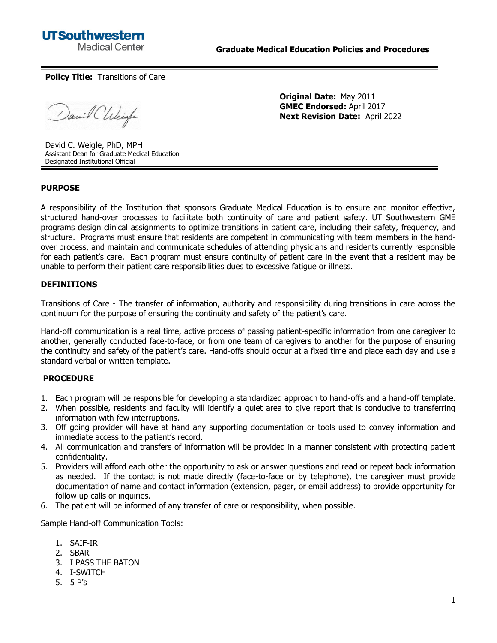

**Policy Title:** Transitions of Care

David Chleigh

**Original Date:** May 2011 **GMEC Endorsed:** April 2017 **Next Revision Date:** April 2022

David C. Weigle, PhD, MPH Assistant Dean for Graduate Medical Education Designated Institutional Official

## **PURPOSE**

A responsibility of the Institution that sponsors Graduate Medical Education is to ensure and monitor effective, structured hand-over processes to facilitate both continuity of care and patient safety. UT Southwestern GME programs design clinical assignments to optimize transitions in patient care, including their safety, frequency, and structure. Programs must ensure that residents are competent in communicating with team members in the handover process, and maintain and communicate schedules of attending physicians and residents currently responsible for each patient's care. Each program must ensure continuity of patient care in the event that a resident may be unable to perform their patient care responsibilities dues to excessive fatigue or illness.

## **DEFINITIONS**

Transitions of Care - The transfer of information, authority and responsibility during transitions in care across the continuum for the purpose of ensuring the continuity and safety of the patient's care.

Hand-off communication is a real time, active process of passing patient-specific information from one caregiver to another, generally conducted face-to-face, or from one team of caregivers to another for the purpose of ensuring the continuity and safety of the patient's care. Hand-offs should occur at a fixed time and place each day and use a standard verbal or written template.

## **PROCEDURE**

- 1. Each program will be responsible for developing a standardized approach to hand-offs and a hand-off template.
- 2. When possible, residents and faculty will identify a quiet area to give report that is conducive to transferring information with few interruptions.
- 3. Off going provider will have at hand any supporting documentation or tools used to convey information and immediate access to the patient's record.
- 4. All communication and transfers of information will be provided in a manner consistent with protecting patient confidentiality.
- 5. Providers will afford each other the opportunity to ask or answer questions and read or repeat back information as needed. If the contact is not made directly (face-to-face or by telephone), the caregiver must provide documentation of name and contact information (extension, pager, or email address) to provide opportunity for follow up calls or inquiries.
- 6. The patient will be informed of any transfer of care or responsibility, when possible.

Sample Hand-off Communication Tools:

- 1. SAIF-IR
- 2. SBAR
- 3. I PASS THE BATON
- 4. I-SWITCH
- 5. 5 P's